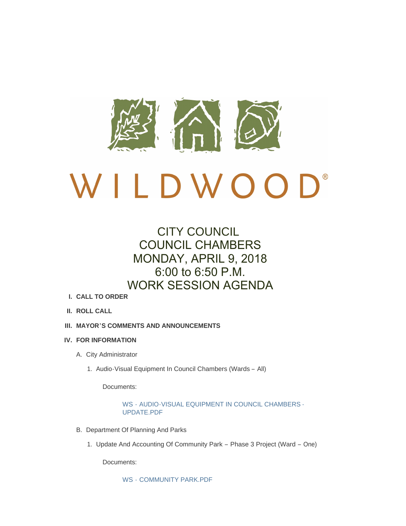

# CITY COUNCIL COUNCIL CHAMBERS MONDAY, APRIL 9, 2018 6:00 to 6:50 P.M. WORK SESSION AGENDA

- **CALL TO ORDER I.**
- **ROLL CALL II.**
- **MAYOR'S COMMENTS AND ANNOUNCEMENTS III.**
- **FOR INFORMATION IV.**
	- A. City Administrator
		- 1. Audio-Visual Equipment In Council Chambers (Wards All)

Documents:

WS - [AUDIO-VISUAL EQUIPMENT IN COUNCIL CHAMBERS -](http://www.cityofwildwood.com/AgendaCenter/ViewFile/Item/14911?fileID=20469) UPDATE.PDF

- B. Department Of Planning And Parks
	- 1. Update And Accounting Of Community Park Phase 3 Project (Ward One)

Documents:

WS - [COMMUNITY PARK.PDF](http://www.cityofwildwood.com/AgendaCenter/ViewFile/Item/14913?fileID=20460)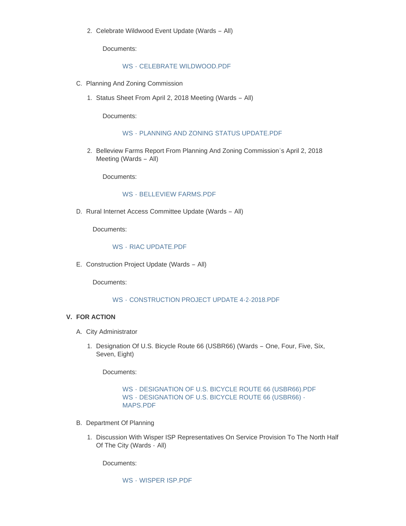2. Celebrate Wildwood Event Update (Wards - All)

Documents:

## WS - [CELEBRATE WILDWOOD.PDF](http://www.cityofwildwood.com/AgendaCenter/ViewFile/Item/14914?fileID=20461)

- C. Planning And Zoning Commission
	- 1. Status Sheet From April 2, 2018 Meeting (Wards All)

Documents:

#### WS - [PLANNING AND ZONING STATUS UPDATE.PDF](http://www.cityofwildwood.com/AgendaCenter/ViewFile/Item/14916?fileID=20462)

2. Belleview Farms Report From Planning And Zoning Commission's April 2, 2018 Meeting (Wards – All)

Documents:

## WS - [BELLEVIEW FARMS.PDF](http://www.cityofwildwood.com/AgendaCenter/ViewFile/Item/14917?fileID=20463)

D. Rural Internet Access Committee Update (Wards - All)

Documents:

#### WS - [RIAC UPDATE.PDF](http://www.cityofwildwood.com/AgendaCenter/ViewFile/Item/14918?fileID=20475)

E. Construction Project Update (Wards - All)

Documents:

## WS - [CONSTRUCTION PROJECT UPDATE 4-2-2018.PDF](http://www.cityofwildwood.com/AgendaCenter/ViewFile/Item/14919?fileID=20464)

#### **FOR ACTION V.**

- A. City Administrator
	- 1. Designation Of U.S. Bicycle Route 66 (USBR66) (Wards One, Four, Five, Six, Seven, Eight)

Documents:

## WS - [DESIGNATION OF U.S. BICYCLE ROUTE 66 \(USBR66\).PDF](http://www.cityofwildwood.com/AgendaCenter/ViewFile/Item/14922?fileID=20465) WS - [DESIGNATION OF U.S. BICYCLE ROUTE 66 \(USBR66\) -](http://www.cityofwildwood.com/AgendaCenter/ViewFile/Item/14922?fileID=20468) MAPS.PDF

- B. Department Of Planning
	- 1. Discussion With Wisper ISP Representatives On Service Provision To The North Half Of The City (Wards - All)

Documents:

WS - [WISPER ISP.PDF](http://www.cityofwildwood.com/AgendaCenter/ViewFile/Item/14924?fileID=20466)